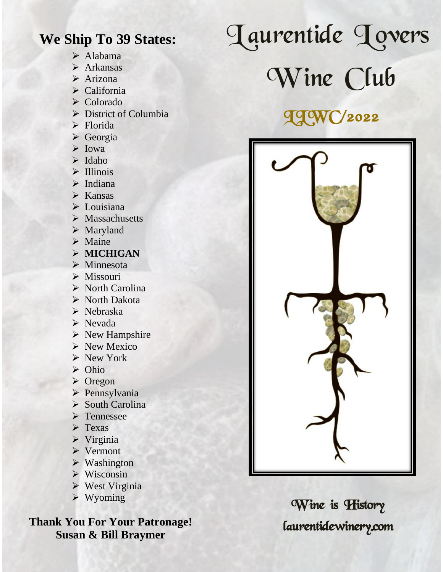#### **We Ship To 39 States:**

- ➢ Alabama
- ➢ Arkansas
- ➢ Arizona
- ➢ California
- ➢ Colorado
- ➢ District of Columbia
- ➢ Florida
- ➢ Georgia
- ➢ Iowa
- ➢ Idaho
- ➢ Illinois
- ➢ Indiana
- ➢ Kansas
- ➢ Louisiana
- ➢ Massachusetts
- ➢ Maryland
- ➢ Maine
- ➢ **MICHIGAN**
- ➢ Minnesota
- ➢ Missouri
- ➢ North Carolina
- ➢ North Dakota
- ➢ Nebraska
- ➢ Nevada
- ➢ New Hampshire
- ➢ New Mexico
- ➢ New York
- ➢ Ohio
- ➢ Oregon
- ➢ Pennsylvania
- ➢ South Carolina
- ➢ Tennessee
- ➢ Texas
- ➢ Virginia
- ➢ Vermont
- ➢ Washington
- ➢ Wisconsin
- ➢ West Virginia
- ➢ Wyoming

**Thank You For Your Patronage! Susan & Bill Braymer**

# Jaurentide Jovers

Wine Club

## **IJWC/2022**



Wine is History laurentidewinery.com